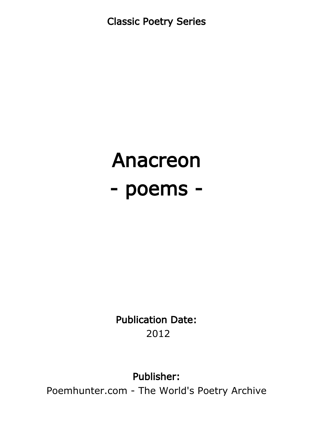Classic Poetry Series

# Anacreon - poems -

Publication Date: 2012

### Publisher:

Poemhunter.com - The World's Poetry Archive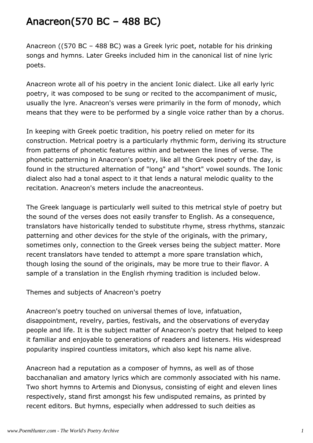# Anacreon(570 BC – 488 BC)

Anacreon ((570 BC – 488 BC) was a Greek lyric poet, notable for his drinking songs and hymns. Later Greeks included him in the canonical list of nine lyric poets.

Anacreon wrote all of his poetry in the ancient Ionic dialect. Like all early lyric poetry, it was composed to be sung or recited to the accompaniment of music, usually the lyre. Anacreon's verses were primarily in the form of monody, which means that they were to be performed by a single voice rather than by a chorus.

In keeping with Greek poetic tradition, his poetry relied on meter for its construction. Metrical poetry is a particularly rhythmic form, deriving its structure from patterns of phonetic features within and between the lines of verse. The phonetic patterning in Anacreon's poetry, like all the Greek poetry of the day, is found in the structured alternation of "long" and "short" vowel sounds. The Ionic dialect also had a tonal aspect to it that lends a natural melodic quality to the recitation. Anacreon's meters include the anacreonteus.

The Greek language is particularly well suited to this metrical style of poetry but the sound of the verses does not easily transfer to English. As a consequence, translators have historically tended to substitute rhyme, stress rhythms, stanzaic patterning and other devices for the style of the originals, with the primary, sometimes only, connection to the Greek verses being the subject matter. More recent translators have tended to attempt a more spare translation which, though losing the sound of the originals, may be more true to their flavor. A sample of a translation in the English rhyming tradition is included below.

Themes and subjects of Anacreon's poetry

Anacreon's poetry touched on universal themes of love, infatuation, disappointment, revelry, parties, festivals, and the observations of everyday people and life. It is the subject matter of Anacreon's poetry that helped to keep it familiar and enjoyable to generations of readers and listeners. His widespread popularity inspired countless imitators, which also kept his name alive.

Anacreon had a reputation as a composer of hymns, as well as of those bacchanalian and amatory lyrics which are commonly associated with his name. Two short hymns to Artemis and Dionysus, consisting of eight and eleven lines respectively, stand first amongst his few undisputed remains, as printed by recent editors. But hymns, especially when addressed to such deities as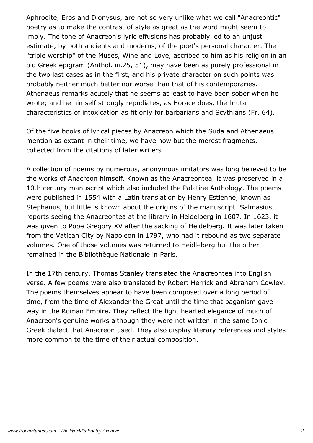Aphrodite, Eros and Dionysus, are not so very unlike what we call "Anacreontic" poetry as to make the contrast of style as great as the word might seem to imply. The tone of Anacreon's lyric effusions has probably led to an unjust estimate, by both ancients and moderns, of the poet's personal character. The "triple worship" of the Muses, Wine and Love, ascribed to him as his religion in an old Greek epigram (Anthol. iii.25, 51), may have been as purely professional in the two last cases as in the first, and his private character on such points was probably neither much better nor worse than that of his contemporaries. Athenaeus remarks acutely that he seems at least to have been sober when he wrote; and he himself strongly repudiates, as Horace does, the brutal characteristics of intoxication as fit only for barbarians and Scythians (Fr. 64).

Of the five books of lyrical pieces by Anacreon which the Suda and Athenaeus mention as extant in their time, we have now but the merest fragments, collected from the citations of later writers.

A collection of poems by numerous, anonymous imitators was long believed to be the works of Anacreon himself. Known as the Anacreontea, it was preserved in a 10th century manuscript which also included the Palatine Anthology. The poems were published in 1554 with a Latin translation by Henry Estienne, known as Stephanus, but little is known about the origins of the manuscript. Salmasius reports seeing the Anacreontea at the library in Heidelberg in 1607. In 1623, it was given to Pope Gregory XV after the sacking of Heidelberg. It was later taken from the Vatican City by Napoleon in 1797, who had it rebound as two separate volumes. One of those volumes was returned to Heidleberg but the other remained in the Bibliothèque Nationale in Paris.

In the 17th century, Thomas Stanley translated the Anacreontea into English verse. A few poems were also translated by Robert Herrick and Abraham Cowley. The poems themselves appear to have been composed over a long period of time, from the time of Alexander the Great until the time that paganism gave way in the Roman Empire. They reflect the light hearted elegance of much of Anacreon's genuine works although they were not written in the same Ionic Greek dialect that Anacreon used. They also display literary references and styles more common to the time of their actual composition.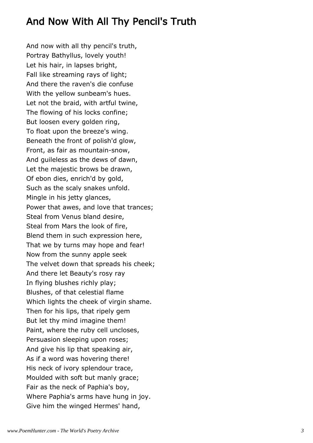### And Now With All Thy Pencil's Truth

And now with all thy pencil's truth, Portray Bathyllus, lovely youth! Let his hair, in lapses bright, Fall like streaming rays of light; And there the raven's die confuse With the yellow sunbeam's hues. Let not the braid, with artful twine, The flowing of his locks confine; But loosen every golden ring, To float upon the breeze's wing. Beneath the front of polish'd glow, Front, as fair as mountain-snow, And guileless as the dews of dawn, Let the majestic brows be drawn, Of ebon dies, enrich'd by gold, Such as the scaly snakes unfold. Mingle in his jetty glances, Power that awes, and love that trances; Steal from Venus bland desire, Steal from Mars the look of fire, Blend them in such expression here, That we by turns may hope and fear! Now from the sunny apple seek The velvet down that spreads his cheek; And there let Beauty's rosy ray In flying blushes richly play; Blushes, of that celestial flame Which lights the cheek of virgin shame. Then for his lips, that ripely gem But let thy mind imagine them! Paint, where the ruby cell uncloses, Persuasion sleeping upon roses; And give his lip that speaking air, As if a word was hovering there! His neck of ivory splendour trace, Moulded with soft but manly grace; Fair as the neck of Paphia's boy, Where Paphia's arms have hung in joy. Give him the winged Hermes' hand,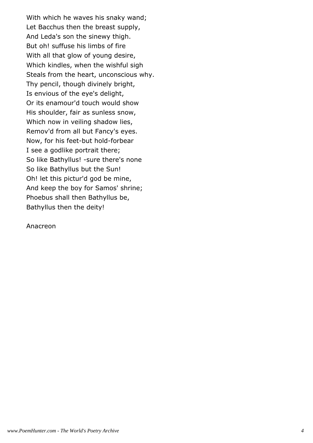With which he waves his snaky wand; Let Bacchus then the breast supply, And Leda's son the sinewy thigh. But oh! suffuse his limbs of fire With all that glow of young desire, Which kindles, when the wishful sigh Steals from the heart, unconscious why. Thy pencil, though divinely bright, Is envious of the eye's delight, Or its enamour'd touch would show His shoulder, fair as sunless snow, Which now in veiling shadow lies, Remov'd from all but Fancy's eyes. Now, for his feet-but hold-forbear I see a godlike portrait there; So like Bathyllus! -sure there's none So like Bathyllus but the Sun! Oh! let this pictur'd god be mine, And keep the boy for Samos' shrine; Phoebus shall then Bathyllus be, Bathyllus then the deity!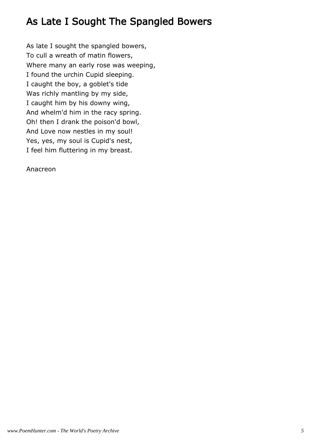# As Late I Sought The Spangled Bowers

As late I sought the spangled bowers, To cull a wreath of matin flowers, Where many an early rose was weeping, I found the urchin Cupid sleeping. I caught the boy, a goblet's tide Was richly mantling by my side, I caught him by his downy wing, And whelm'd him in the racy spring. Oh! then I drank the poison'd bowl, And Love now nestles in my soul! Yes, yes, my soul is Cupid's nest, I feel him fluttering in my breast.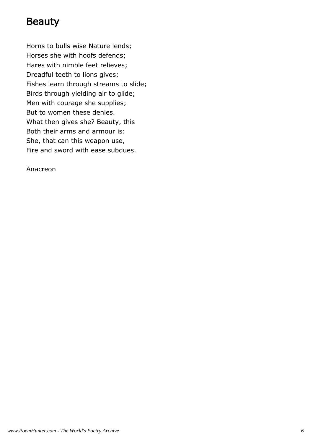# Beauty

Horns to bulls wise Nature lends; Horses she with hoofs defends; Hares with nimble feet relieves; Dreadful teeth to lions gives; Fishes learn through streams to slide; Birds through yielding air to glide; Men with courage she supplies; But to women these denies. What then gives she? Beauty, this Both their arms and armour is: She, that can this weapon use, Fire and sword with ease subdues.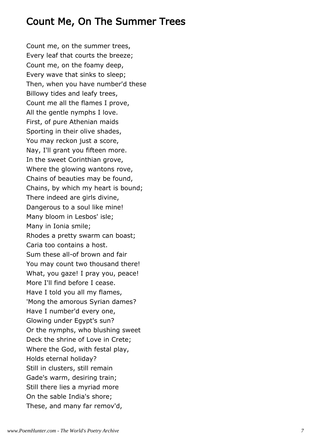#### Count Me, On The Summer Trees

Count me, on the summer trees, Every leaf that courts the breeze; Count me, on the foamy deep, Every wave that sinks to sleep; Then, when you have number'd these Billowy tides and leafy trees, Count me all the flames I prove, All the gentle nymphs I love. First, of pure Athenian maids Sporting in their olive shades, You may reckon just a score, Nay, I'll grant you fifteen more. In the sweet Corinthian grove, Where the glowing wantons rove, Chains of beauties may be found, Chains, by which my heart is bound; There indeed are girls divine, Dangerous to a soul like mine! Many bloom in Lesbos' isle; Many in Ionia smile; Rhodes a pretty swarm can boast; Caria too contains a host. Sum these all-of brown and fair You may count two thousand there! What, you gaze! I pray you, peace! More I'll find before I cease. Have I told you all my flames, 'Mong the amorous Syrian dames? Have I number'd every one, Glowing under Egypt's sun? Or the nymphs, who blushing sweet Deck the shrine of Love in Crete; Where the God, with festal play, Holds eternal holiday? Still in clusters, still remain Gade's warm, desiring train; Still there lies a myriad more On the sable India's shore; These, and many far remov'd,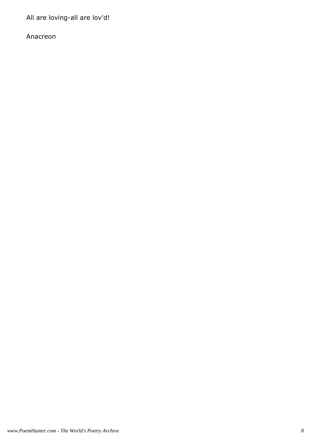All are loving-all are lov'd!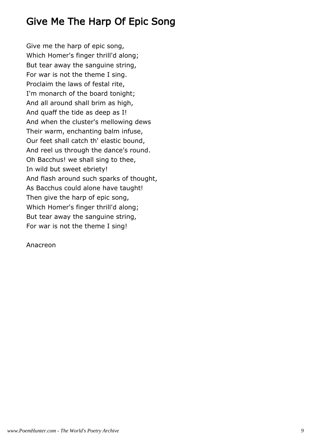# Give Me The Harp Of Epic Song

Give me the harp of epic song, Which Homer's finger thrill'd along; But tear away the sanguine string, For war is not the theme I sing. Proclaim the laws of festal rite, I'm monarch of the board tonight; And all around shall brim as high, And quaff the tide as deep as I! And when the cluster's mellowing dews Their warm, enchanting balm infuse, Our feet shall catch th' elastic bound, And reel us through the dance's round. Oh Bacchus! we shall sing to thee, In wild but sweet ebriety! And flash around such sparks of thought, As Bacchus could alone have taught! Then give the harp of epic song, Which Homer's finger thrill'd along; But tear away the sanguine string, For war is not the theme I sing!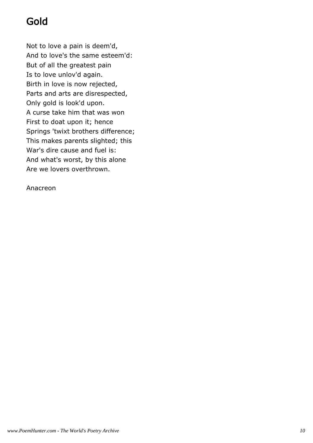# Gold

Not to love a pain is deem'd, And to love's the same esteem'd: But of all the greatest pain Is to love unlov'd again. Birth in love is now rejected, Parts and arts are disrespected, Only gold is look'd upon. A curse take him that was won First to doat upon it; hence Springs 'twixt brothers difference; This makes parents slighted; this War's dire cause and fuel is: And what's worst, by this alone Are we lovers overthrown.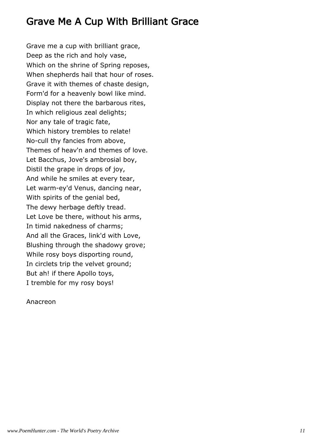# Grave Me A Cup With Brilliant Grace

Grave me a cup with brilliant grace, Deep as the rich and holy vase, Which on the shrine of Spring reposes, When shepherds hail that hour of roses. Grave it with themes of chaste design, Form'd for a heavenly bowl like mind. Display not there the barbarous rites, In which religious zeal delights; Nor any tale of tragic fate, Which history trembles to relate! No-cull thy fancies from above, Themes of heav'n and themes of love. Let Bacchus, Jove's ambrosial boy, Distil the grape in drops of joy, And while he smiles at every tear, Let warm-ey'd Venus, dancing near, With spirits of the genial bed, The dewy herbage deftly tread. Let Love be there, without his arms, In timid nakedness of charms; And all the Graces, link'd with Love, Blushing through the shadowy grove; While rosy boys disporting round, In circlets trip the velvet ground; But ah! if there Apollo toys, I tremble for my rosy boys!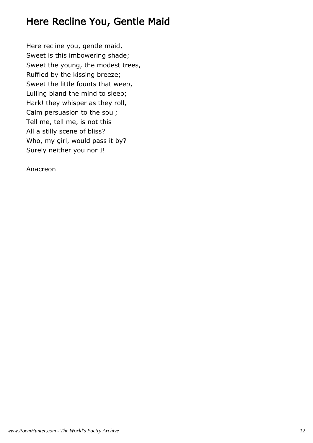# Here Recline You, Gentle Maid

Here recline you, gentle maid, Sweet is this imbowering shade; Sweet the young, the modest trees, Ruffled by the kissing breeze; Sweet the little founts that weep, Lulling bland the mind to sleep; Hark! they whisper as they roll, Calm persuasion to the soul; Tell me, tell me, is not this All a stilly scene of bliss? Who, my girl, would pass it by? Surely neither you nor I!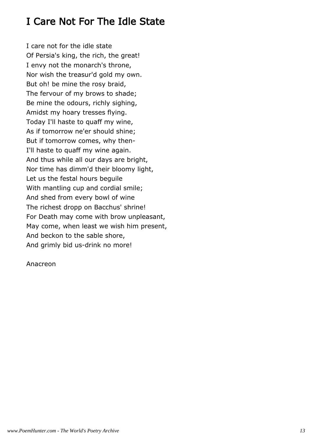# I Care Not For The Idle State

I care not for the idle state Of Persia's king, the rich, the great! I envy not the monarch's throne, Nor wish the treasur'd gold my own. But oh! be mine the rosy braid, The fervour of my brows to shade; Be mine the odours, richly sighing, Amidst my hoary tresses flying. Today I'll haste to quaff my wine, As if tomorrow ne'er should shine; But if tomorrow comes, why then-I'll haste to quaff my wine again. And thus while all our days are bright, Nor time has dimm'd their bloomy light, Let us the festal hours beguile With mantling cup and cordial smile; And shed from every bowl of wine The richest dropp on Bacchus' shrine! For Death may come with brow unpleasant, May come, when least we wish him present, And beckon to the sable shore, And grimly bid us-drink no more!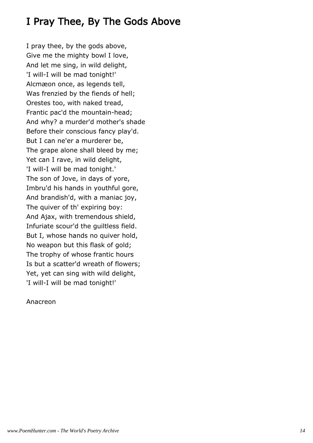# I Pray Thee, By The Gods Above

I pray thee, by the gods above, Give me the mighty bowl I love, And let me sing, in wild delight, 'I will-I will be mad tonight!' Alcmæon once, as legends tell, Was frenzied by the fiends of hell; Orestes too, with naked tread, Frantic pac'd the mountain-head; And why? a murder'd mother's shade Before their conscious fancy play'd. But I can ne'er a murderer be, The grape alone shall bleed by me; Yet can I rave, in wild delight, 'I will-I will be mad tonight.' The son of Jove, in days of yore, Imbru'd his hands in youthful gore, And brandish'd, with a maniac joy, The quiver of th' expiring boy: And Ajax, with tremendous shield, Infuriate scour'd the guiltless field. But I, whose hands no quiver hold, No weapon but this flask of gold; The trophy of whose frantic hours Is but a scatter'd wreath of flowers; Yet, yet can sing with wild delight, 'I will-I will be mad tonight!'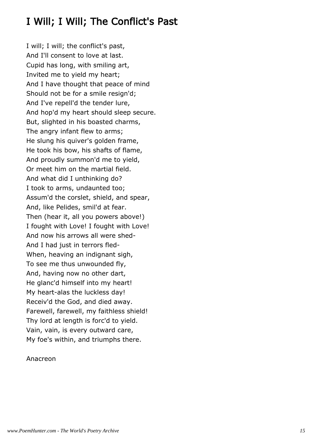# I Will; I Will; The Conflict's Past

I will; I will; the conflict's past, And I'll consent to love at last. Cupid has long, with smiling art, Invited me to yield my heart; And I have thought that peace of mind Should not be for a smile resign'd; And I've repell'd the tender lure, And hop'd my heart should sleep secure. But, slighted in his boasted charms, The angry infant flew to arms; He slung his quiver's golden frame, He took his bow, his shafts of flame, And proudly summon'd me to yield, Or meet him on the martial field. And what did I unthinking do? I took to arms, undaunted too; Assum'd the corslet, shield, and spear, And, like Pelides, smil'd at fear. Then (hear it, all you powers above!) I fought with Love! I fought with Love! And now his arrows all were shed-And I had just in terrors fled-When, heaving an indignant sigh, To see me thus unwounded fly, And, having now no other dart, He glanc'd himself into my heart! My heart-alas the luckless day! Receiv'd the God, and died away. Farewell, farewell, my faithless shield! Thy lord at length is forc'd to yield. Vain, vain, is every outward care, My foe's within, and triumphs there.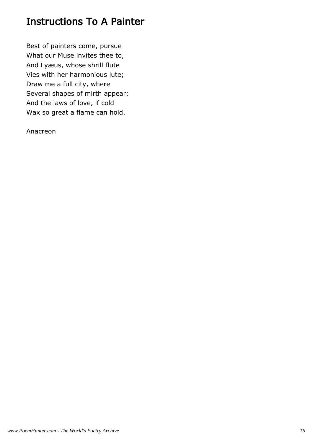# Instructions To A Painter

Best of painters come, pursue What our Muse invites thee to, And Lyæus, whose shrill flute Vies with her harmonious lute; Draw me a full city, where Several shapes of mirth appear; And the laws of love, if cold Wax so great a flame can hold.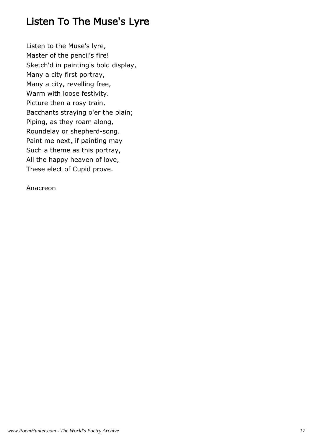# Listen To The Muse's Lyre

Listen to the Muse's lyre, Master of the pencil's fire! Sketch'd in painting's bold display, Many a city first portray, Many a city, revelling free, Warm with loose festivity. Picture then a rosy train, Bacchants straying o'er the plain; Piping, as they roam along, Roundelay or shepherd-song. Paint me next, if painting may Such a theme as this portray, All the happy heaven of love, These elect of Cupid prove.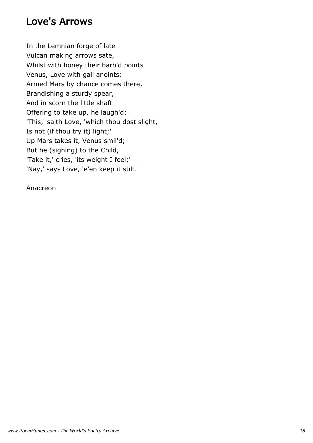#### Love's Arrows

In the Lemnian forge of late Vulcan making arrows sate, Whilst with honey their barb'd points Venus, Love with gall anoints: Armed Mars by chance comes there, Brandishing a sturdy spear, And in scorn the little shaft Offering to take up, he laugh'd: 'This,' saith Love, 'which thou dost slight, Is not (if thou try it) light;' Up Mars takes it, Venus smil'd; But he (sighing) to the Child, 'Take it,' cries, 'its weight I feel;' 'Nay,' says Love, 'e'en keep it still.'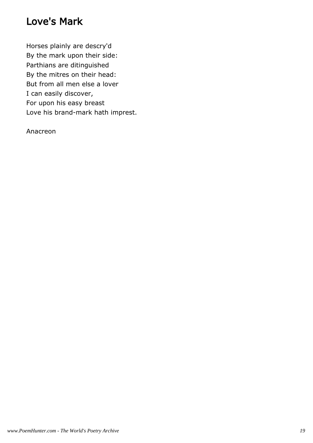## Love's Mark

Horses plainly are descry'd By the mark upon their side: Parthians are ditinguished By the mitres on their head: But from all men else a lover I can easily discover, For upon his easy breast Love his brand-mark hath imprest.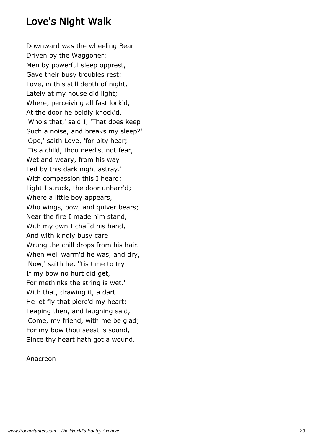#### Love's Night Walk

Downward was the wheeling Bear Driven by the Waggoner: Men by powerful sleep opprest, Gave their busy troubles rest; Love, in this still depth of night, Lately at my house did light; Where, perceiving all fast lock'd, At the door he boldly knock'd. 'Who's that,' said I, 'That does keep Such a noise, and breaks my sleep?' 'Ope,' saith Love, 'for pity hear; 'Tis a child, thou need'st not fear, Wet and weary, from his way Led by this dark night astray.' With compassion this I heard; Light I struck, the door unbarr'd; Where a little boy appears, Who wings, bow, and quiver bears; Near the fire I made him stand, With my own I chaf'd his hand, And with kindly busy care Wrung the chill drops from his hair. When well warm'd he was, and dry, 'Now,' saith he, ''tis time to try If my bow no hurt did get, For methinks the string is wet.' With that, drawing it, a dart He let fly that pierc'd my heart; Leaping then, and laughing said, 'Come, my friend, with me be glad; For my bow thou seest is sound, Since thy heart hath got a wound.'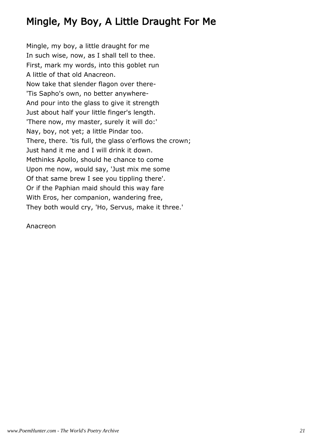# Mingle, My Boy, A Little Draught For Me

Mingle, my boy, a little draught for me In such wise, now, as I shall tell to thee. First, mark my words, into this goblet run A little of that old Anacreon. Now take that slender flagon over there- 'Tis Sapho's own, no better anywhere-And pour into the glass to give it strength Just about half your little finger's length. 'There now, my master, surely it will do:' Nay, boy, not yet; a little Pindar too. There, there. 'tis full, the glass o'erflows the crown; Just hand it me and I will drink it down. Methinks Apollo, should he chance to come Upon me now, would say, 'Just mix me some Of that same brew I see you tippling there'. Or if the Paphian maid should this way fare With Eros, her companion, wandering free, They both would cry, 'Ho, Servus, make it three.'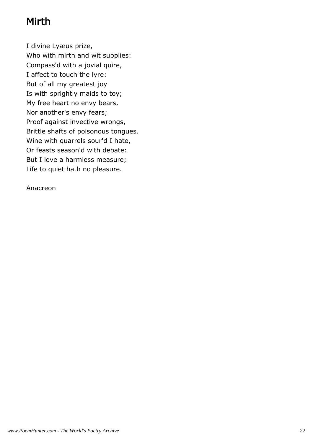# Mirth

I divine Lyæus prize, Who with mirth and wit supplies: Compass'd with a jovial quire, I affect to touch the lyre: But of all my greatest joy Is with sprightly maids to toy; My free heart no envy bears, Nor another's envy fears; Proof against invective wrongs, Brittle shafts of poisonous tongues. Wine with quarrels sour'd I hate, Or feasts season'd with debate: But I love a harmless measure; Life to quiet hath no pleasure.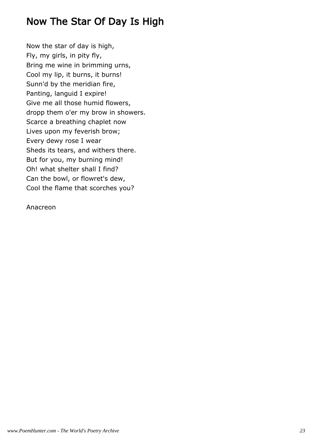# Now The Star Of Day Is High

Now the star of day is high, Fly, my girls, in pity fly, Bring me wine in brimming urns, Cool my lip, it burns, it burns! Sunn'd by the meridian fire, Panting, languid I expire! Give me all those humid flowers, dropp them o'er my brow in showers. Scarce a breathing chaplet now Lives upon my feverish brow; Every dewy rose I wear Sheds its tears, and withers there. But for you, my burning mind! Oh! what shelter shall I find? Can the bowl, or flowret's dew, Cool the flame that scorches you?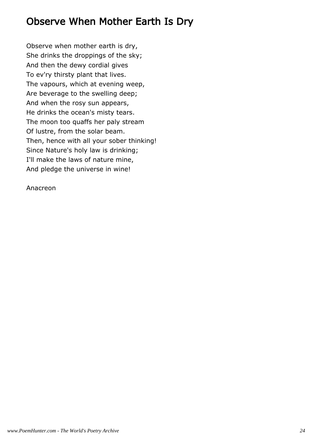# Observe When Mother Earth Is Dry

Observe when mother earth is dry, She drinks the droppings of the sky; And then the dewy cordial gives To ev'ry thirsty plant that lives. The vapours, which at evening weep, Are beverage to the swelling deep; And when the rosy sun appears, He drinks the ocean's misty tears. The moon too quaffs her paly stream Of lustre, from the solar beam. Then, hence with all your sober thinking! Since Nature's holy law is drinking; I'll make the laws of nature mine, And pledge the universe in wine!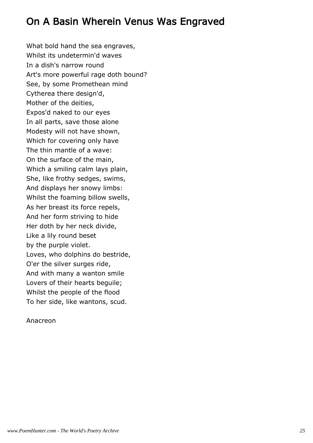# On A Basin Wherein Venus Was Engraved

What bold hand the sea engraves, Whilst its undetermin'd waves In a dish's narrow round Art's more powerful rage doth bound? See, by some Promethean mind Cytherea there design'd, Mother of the deities, Expos'd naked to our eyes In all parts, save those alone Modesty will not have shown, Which for covering only have The thin mantle of a wave: On the surface of the main, Which a smiling calm lays plain, She, like frothy sedges, swims, And displays her snowy limbs: Whilst the foaming billow swells, As her breast its force repels, And her form striving to hide Her doth by her neck divide, Like a lily round beset by the purple violet. Loves, who dolphins do bestride, O'er the silver surges ride, And with many a wanton smile Lovers of their hearts beguile; Whilst the people of the flood To her side, like wantons, scud.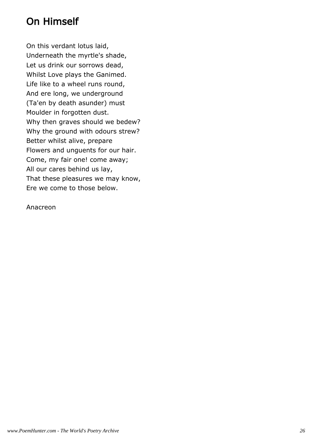# On Himself

On this verdant lotus laid, Underneath the myrtle's shade, Let us drink our sorrows dead, Whilst Love plays the Ganimed. Life like to a wheel runs round, And ere long, we underground (Ta'en by death asunder) must Moulder in forgotten dust. Why then graves should we bedew? Why the ground with odours strew? Better whilst alive, prepare Flowers and unguents for our hair. Come, my fair one! come away; All our cares behind us lay, That these pleasures we may know, Ere we come to those below.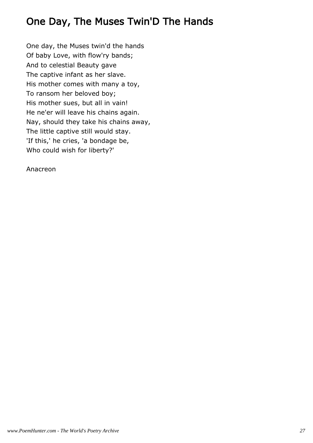# One Day, The Muses Twin'D The Hands

One day, the Muses twin'd the hands Of baby Love, with flow'ry bands; And to celestial Beauty gave The captive infant as her slave. His mother comes with many a toy, To ransom her beloved boy; His mother sues, but all in vain! He ne'er will leave his chains again. Nay, should they take his chains away, The little captive still would stay. 'If this,' he cries, 'a bondage be, Who could wish for liberty?'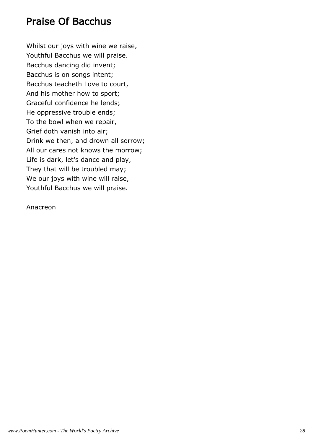#### Praise Of Bacchus

Whilst our joys with wine we raise, Youthful Bacchus we will praise. Bacchus dancing did invent; Bacchus is on songs intent; Bacchus teacheth Love to court, And his mother how to sport; Graceful confidence he lends; He oppressive trouble ends; To the bowl when we repair, Grief doth vanish into air; Drink we then, and drown all sorrow; All our cares not knows the morrow; Life is dark, let's dance and play, They that will be troubled may; We our joys with wine will raise, Youthful Bacchus we will praise.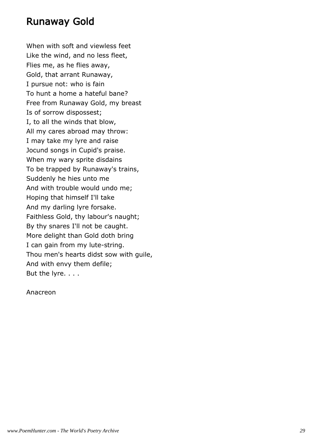#### Runaway Gold

When with soft and viewless feet Like the wind, and no less fleet, Flies me, as he flies away, Gold, that arrant Runaway, I pursue not: who is fain To hunt a home a hateful bane? Free from Runaway Gold, my breast Is of sorrow dispossest; I, to all the winds that blow, All my cares abroad may throw: I may take my lyre and raise Jocund songs in Cupid's praise. When my wary sprite disdains To be trapped by Runaway's trains, Suddenly he hies unto me And with trouble would undo me; Hoping that himself I'll take And my darling lyre forsake. Faithless Gold, thy labour's naught; By thy snares I'll not be caught. More delight than Gold doth bring I can gain from my lute-string. Thou men's hearts didst sow with guile, And with envy them defile; But the lyre. . . .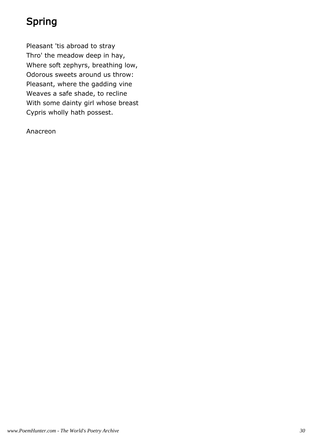# Spring

Pleasant 'tis abroad to stray Thro' the meadow deep in hay, Where soft zephyrs, breathing low, Odorous sweets around us throw: Pleasant, where the gadding vine Weaves a safe shade, to recline With some dainty girl whose breast Cypris wholly hath possest.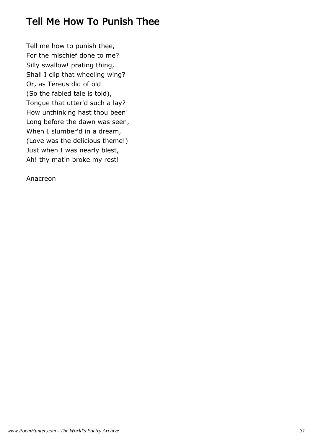# Tell Me How To Punish Thee

Tell me how to punish thee, For the mischief done to me? Silly swallow! prating thing, Shall I clip that wheeling wing? Or, as Tereus did of old (So the fabled tale is told), Tongue that utter'd such a lay? How unthinking hast thou been! Long before the dawn was seen, When I slumber'd in a dream, (Love was the delicious theme!) Just when I was nearly blest, Ah! thy matin broke my rest!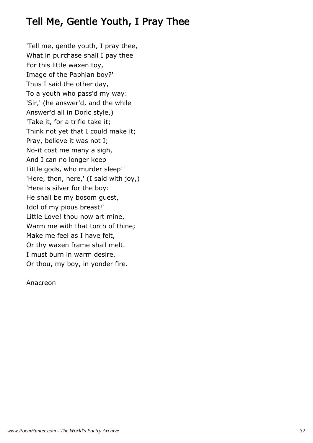## Tell Me, Gentle Youth, I Pray Thee

'Tell me, gentle youth, I pray thee, What in purchase shall I pay thee For this little waxen toy, Image of the Paphian boy?' Thus I said the other day, To a youth who pass'd my way: 'Sir,' (he answer'd, and the while Answer'd all in Doric style,) 'Take it, for a trifle take it; Think not yet that I could make it; Pray, believe it was not I; No-it cost me many a sigh, And I can no longer keep Little gods, who murder sleep!' 'Here, then, here,' (I said with joy,) 'Here is silver for the boy: He shall be my bosom guest, Idol of my pious breast!' Little Love! thou now art mine, Warm me with that torch of thine; Make me feel as I have felt, Or thy waxen frame shall melt. I must burn in warm desire, Or thou, my boy, in yonder fire.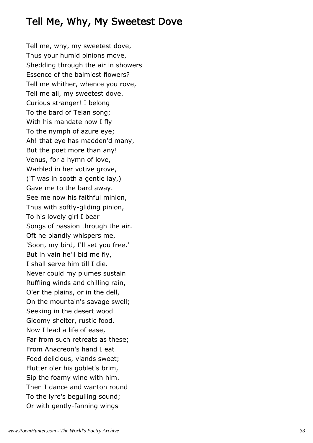### Tell Me, Why, My Sweetest Dove

Tell me, why, my sweetest dove, Thus your humid pinions move, Shedding through the air in showers Essence of the balmiest flowers? Tell me whither, whence you rove, Tell me all, my sweetest dove. Curious stranger! I belong To the bard of Teian song; With his mandate now I fly To the nymph of azure eye; Ah! that eye has madden'd many, But the poet more than any! Venus, for a hymn of love, Warbled in her votive grove, ('T was in sooth a gentle lay,) Gave me to the bard away. See me now his faithful minion, Thus with softly-gliding pinion, To his lovely girl I bear Songs of passion through the air. Oft he blandly whispers me, 'Soon, my bird, I'll set you free.' But in vain he'll bid me fly, I shall serve him till I die. Never could my plumes sustain Ruffling winds and chilling rain, O'er the plains, or in the dell, On the mountain's savage swell; Seeking in the desert wood Gloomy shelter, rustic food. Now I lead a life of ease, Far from such retreats as these; From Anacreon's hand I eat Food delicious, viands sweet; Flutter o'er his goblet's brim, Sip the foamy wine with him. Then I dance and wanton round To the lyre's beguiling sound; Or with gently-fanning wings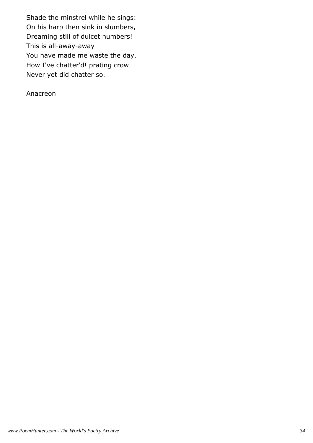Shade the minstrel while he sings: On his harp then sink in slumbers, Dreaming still of dulcet numbers! This is all-away-away You have made me waste the day. How I've chatter'd! prating crow Never yet did chatter so.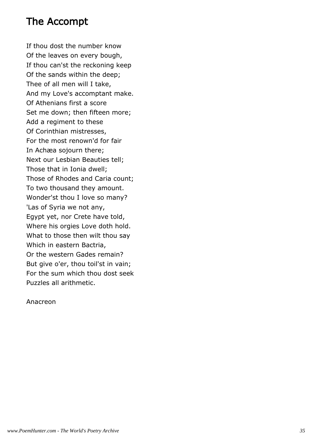#### The Accompt

If thou dost the number know Of the leaves on every bough, If thou can'st the reckoning keep Of the sands within the deep; Thee of all men will I take, And my Love's accomptant make. Of Athenians first a score Set me down; then fifteen more; Add a regiment to these Of Corinthian mistresses, For the most renown'd for fair In Achæa sojourn there; Next our Lesbian Beauties tell; Those that in Ionia dwell; Those of Rhodes and Caria count; To two thousand they amount. Wonder'st thou I love so many? 'Las of Syria we not any, Egypt yet, nor Crete have told, Where his orgies Love doth hold. What to those then wilt thou say Which in eastern Bactria, Or the western Gades remain? But give o'er, thou toil'st in vain; For the sum which thou dost seek Puzzles all arithmetic.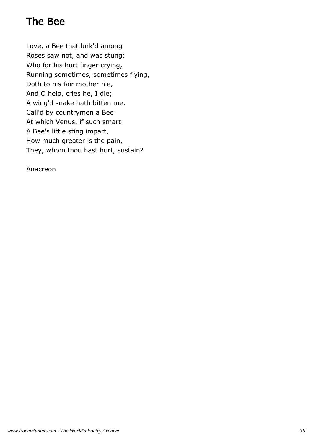# The Bee

Love, a Bee that lurk'd among Roses saw not, and was stung: Who for his hurt finger crying, Running sometimes, sometimes flying, Doth to his fair mother hie, And O help, cries he, I die; A wing'd snake hath bitten me, Call'd by countrymen a Bee: At which Venus, if such smart A Bee's little sting impart, How much greater is the pain, They, whom thou hast hurt, sustain?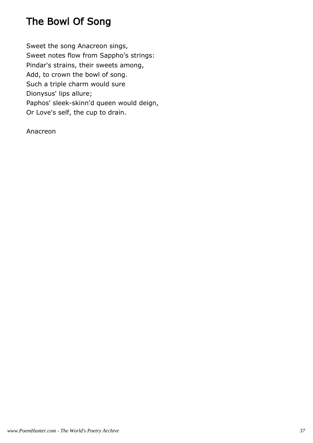# The Bowl Of Song

Sweet the song Anacreon sings, Sweet notes flow from Sappho's strings: Pindar's strains, their sweets among, Add, to crown the bowl of song. Such a triple charm would sure Dionysus' lips allure; Paphos' sleek-skinn'd queen would deign, Or Love's self, the cup to drain.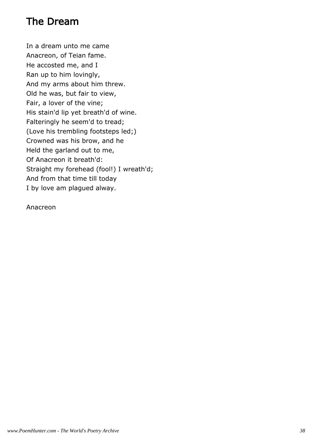# The Dream

In a dream unto me came Anacreon, of Teian fame. He accosted me, and I Ran up to him lovingly, And my arms about him threw. Old he was, but fair to view, Fair, a lover of the vine; His stain'd lip yet breath'd of wine. Falteringly he seem'd to tread; (Love his trembling footsteps led;) Crowned was his brow, and he Held the garland out to me, Of Anacreon it breath'd: Straight my forehead (fool!) I wreath'd; And from that time till today I by love am plagued alway.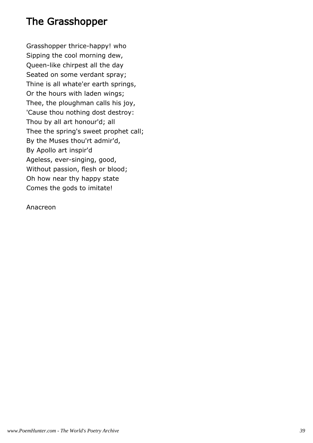### The Grasshopper

Grasshopper thrice-happy! who Sipping the cool morning dew, Queen-like chirpest all the day Seated on some verdant spray; Thine is all whate'er earth springs, Or the hours with laden wings; Thee, the ploughman calls his joy, 'Cause thou nothing dost destroy: Thou by all art honour'd; all Thee the spring's sweet prophet call; By the Muses thou'rt admir'd, By Apollo art inspir'd Ageless, ever-singing, good, Without passion, flesh or blood; Oh how near thy happy state Comes the gods to imitate!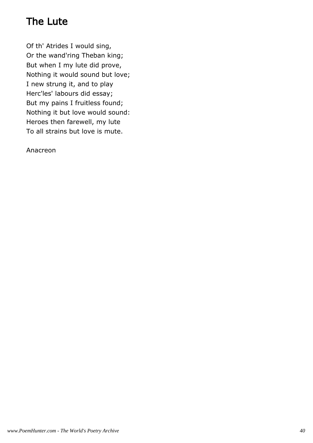# The Lute

Of th' Atrides I would sing, Or the wand'ring Theban king; But when I my lute did prove, Nothing it would sound but love; I new strung it, and to play Herc'les' labours did essay; But my pains I fruitless found; Nothing it but love would sound: Heroes then farewell, my lute To all strains but love is mute.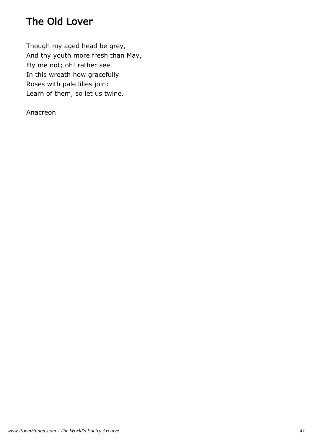# The Old Lover

Though my aged head be grey, And thy youth more fresh than May, Fly me not; oh! rather see In this wreath how gracefully Roses with pale lilies join: Learn of them, so let us twine.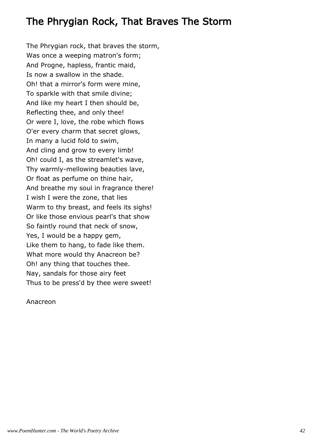# The Phrygian Rock, That Braves The Storm

The Phrygian rock, that braves the storm, Was once a weeping matron's form; And Progne, hapless, frantic maid, Is now a swallow in the shade. Oh! that a mirror's form were mine, To sparkle with that smile divine; And like my heart I then should be, Reflecting thee, and only thee! Or were I, love, the robe which flows O'er every charm that secret glows, In many a lucid fold to swim, And cling and grow to every limb! Oh! could I, as the streamlet's wave, Thy warmly-mellowing beauties lave, Or float as perfume on thine hair, And breathe my soul in fragrance there! I wish I were the zone, that lies Warm to thy breast, and feels its sighs! Or like those envious pearl's that show So faintly round that neck of snow, Yes, I would be a happy gem, Like them to hang, to fade like them. What more would thy Anacreon be? Oh! any thing that touches thee. Nay, sandals for those airy feet Thus to be press'd by thee were sweet!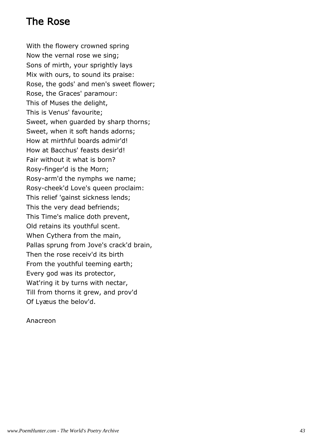# The Rose

With the flowery crowned spring Now the vernal rose we sing; Sons of mirth, your sprightly lays Mix with ours, to sound its praise: Rose, the gods' and men's sweet flower; Rose, the Graces' paramour: This of Muses the delight, This is Venus' favourite; Sweet, when guarded by sharp thorns; Sweet, when it soft hands adorns; How at mirthful boards admir'd! How at Bacchus' feasts desir'd! Fair without it what is born? Rosy-finger'd is the Morn; Rosy-arm'd the nymphs we name; Rosy-cheek'd Love's queen proclaim: This relief 'gainst sickness lends; This the very dead befriends; This Time's malice doth prevent, Old retains its youthful scent. When Cythera from the main, Pallas sprung from Jove's crack'd brain, Then the rose receiv'd its birth From the youthful teeming earth; Every god was its protector, Wat'ring it by turns with nectar, Till from thorns it grew, and prov'd Of Lyæus the belov'd.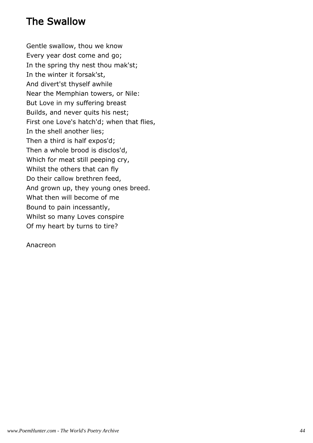# The Swallow

Gentle swallow, thou we know Every year dost come and go; In the spring thy nest thou mak'st; In the winter it forsak'st, And divert'st thyself awhile Near the Memphian towers, or Nile: But Love in my suffering breast Builds, and never quits his nest; First one Love's hatch'd; when that flies, In the shell another lies; Then a third is half expos'd; Then a whole brood is disclos'd, Which for meat still peeping cry, Whilst the others that can fly Do their callow brethren feed, And grown up, they young ones breed. What then will become of me Bound to pain incessantly, Whilst so many Loves conspire Of my heart by turns to tire?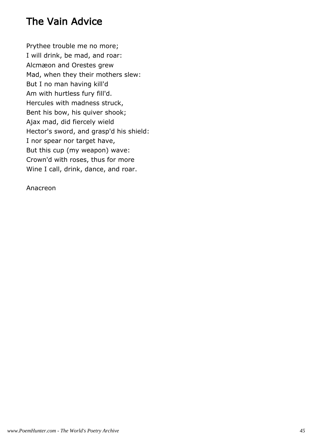# The Vain Advice

Prythee trouble me no more; I will drink, be mad, and roar: Alcmæon and Orestes grew Mad, when they their mothers slew: But I no man having kill'd Am with hurtless fury fill'd. Hercules with madness struck, Bent his bow, his quiver shook; Ajax mad, did fiercely wield Hector's sword, and grasp'd his shield: I nor spear nor target have, But this cup (my weapon) wave: Crown'd with roses, thus for more Wine I call, drink, dance, and roar.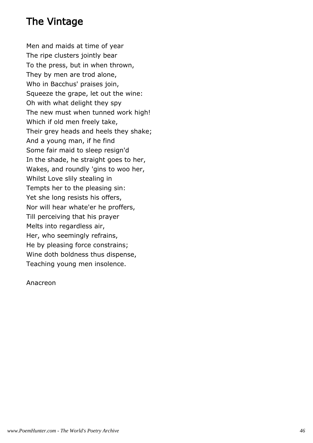# The Vintage

Men and maids at time of year The ripe clusters jointly bear To the press, but in when thrown, They by men are trod alone, Who in Bacchus' praises join, Squeeze the grape, let out the wine: Oh with what delight they spy The new must when tunned work high! Which if old men freely take, Their grey heads and heels they shake; And a young man, if he find Some fair maid to sleep resign'd In the shade, he straight goes to her, Wakes, and roundly 'gins to woo her, Whilst Love slily stealing in Tempts her to the pleasing sin: Yet she long resists his offers, Nor will hear whate'er he proffers, Till perceiving that his prayer Melts into regardless air, Her, who seemingly refrains, He by pleasing force constrains; Wine doth boldness thus dispense, Teaching young men insolence.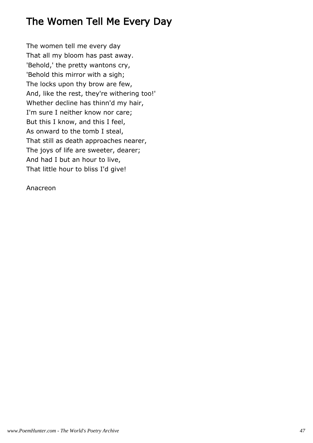# The Women Tell Me Every Day

The women tell me every day That all my bloom has past away. 'Behold,' the pretty wantons cry, 'Behold this mirror with a sigh; The locks upon thy brow are few, And, like the rest, they're withering too!' Whether decline has thinn'd my hair, I'm sure I neither know nor care; But this I know, and this I feel, As onward to the tomb I steal, That still as death approaches nearer, The joys of life are sweeter, dearer; And had I but an hour to live, That little hour to bliss I'd give!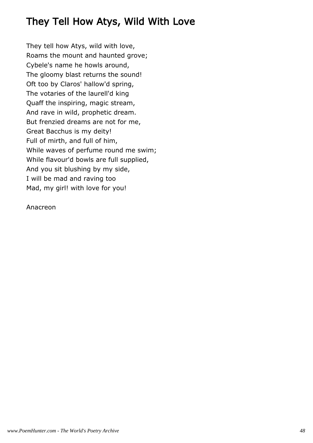# They Tell How Atys, Wild With Love

They tell how Atys, wild with love, Roams the mount and haunted grove; Cybele's name he howls around, The gloomy blast returns the sound! Oft too by Claros' hallow'd spring, The votaries of the laurell'd king Quaff the inspiring, magic stream, And rave in wild, prophetic dream. But frenzied dreams are not for me, Great Bacchus is my deity! Full of mirth, and full of him, While waves of perfume round me swim; While flavour'd bowls are full supplied, And you sit blushing by my side, I will be mad and raving too Mad, my girl! with love for you!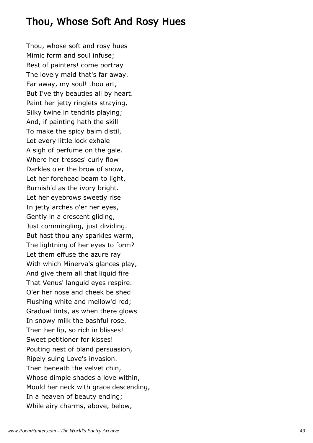# Thou, Whose Soft And Rosy Hues

Thou, whose soft and rosy hues Mimic form and soul infuse; Best of painters! come portray The lovely maid that's far away. Far away, my soul! thou art, But I've thy beauties all by heart. Paint her jetty ringlets straying, Silky twine in tendrils playing; And, if painting hath the skill To make the spicy balm distil, Let every little lock exhale A sigh of perfume on the gale. Where her tresses' curly flow Darkles o'er the brow of snow, Let her forehead beam to light, Burnish'd as the ivory bright. Let her eyebrows sweetly rise In jetty arches o'er her eyes, Gently in a crescent gliding, Just commingling, just dividing. But hast thou any sparkles warm, The lightning of her eyes to form? Let them effuse the azure ray With which Minerva's glances play, And give them all that liquid fire That Venus' languid eyes respire. O'er her nose and cheek be shed Flushing white and mellow'd red; Gradual tints, as when there glows In snowy milk the bashful rose. Then her lip, so rich in blisses! Sweet petitioner for kisses! Pouting nest of bland persuasion, Ripely suing Love's invasion. Then beneath the velvet chin, Whose dimple shades a love within, Mould her neck with grace descending, In a heaven of beauty ending; While airy charms, above, below,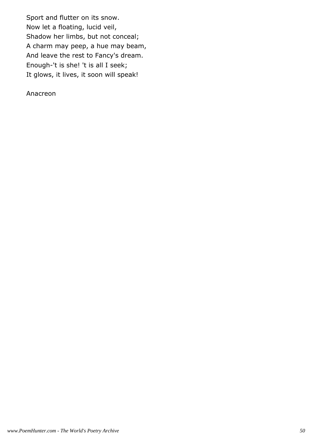Sport and flutter on its snow. Now let a floating, lucid veil, Shadow her limbs, but not conceal; A charm may peep, a hue may beam, And leave the rest to Fancy's dream. Enough-'t is she! 't is all I seek; It glows, it lives, it soon will speak!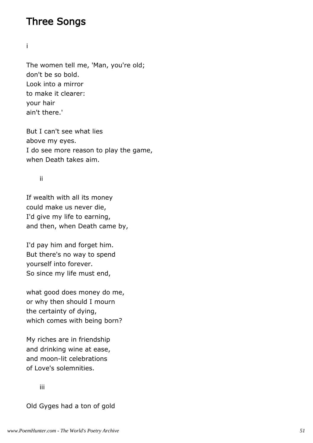#### Three Songs

i

The women tell me, 'Man, you're old; don't be so bold. Look into a mirror to make it clearer: your hair ain't there.'

But I can't see what lies above my eyes. I do see more reason to play the game, when Death takes aim.

ii

If wealth with all its money could make us never die, I'd give my life to earning, and then, when Death came by,

I'd pay him and forget him. But there's no way to spend yourself into forever. So since my life must end,

what good does money do me, or why then should I mourn the certainty of dying, which comes with being born?

My riches are in friendship and drinking wine at ease, and moon-lit celebrations of Love's solemnities.

iii

Old Gyges had a ton of gold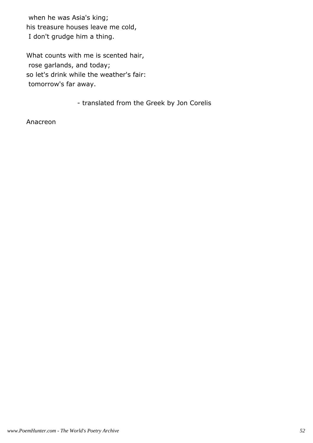when he was Asia's king; his treasure houses leave me cold, I don't grudge him a thing.

What counts with me is scented hair, rose garlands, and today; so let's drink while the weather's fair: tomorrow's far away.

- translated from the Greek by Jon Corelis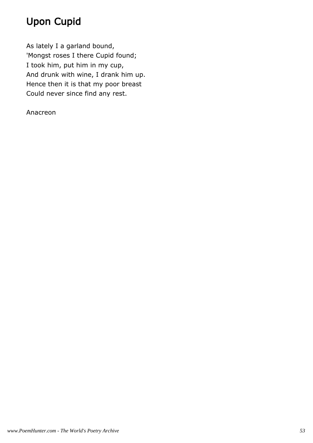# Upon Cupid

As lately I a garland bound, 'Mongst roses I there Cupid found; I took him, put him in my cup, And drunk with wine, I drank him up. Hence then it is that my poor breast Could never since find any rest.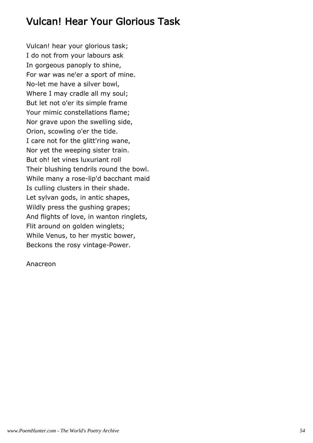# Vulcan! Hear Your Glorious Task

Vulcan! hear your glorious task; I do not from your labours ask In gorgeous panoply to shine, For war was ne'er a sport of mine. No-let me have a silver bowl, Where I may cradle all my soul; But let not o'er its simple frame Your mimic constellations flame; Nor grave upon the swelling side, Orion, scowling o'er the tide. I care not for the glitt'ring wane, Nor yet the weeping sister train. But oh! let vines luxuriant roll Their blushing tendrils round the bowl. While many a rose-lip'd bacchant maid Is culling clusters in their shade. Let sylvan gods, in antic shapes, Wildly press the gushing grapes; And flights of love, in wanton ringlets, Flit around on golden winglets; While Venus, to her mystic bower, Beckons the rosy vintage-Power.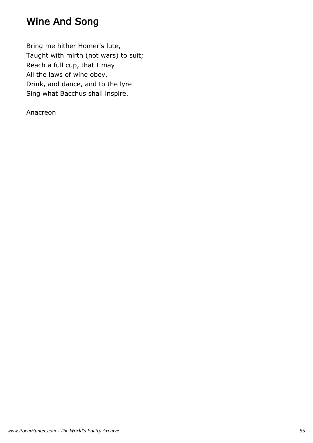# Wine And Song

Bring me hither Homer's lute, Taught with mirth (not wars) to suit; Reach a full cup, that I may All the laws of wine obey, Drink, and dance, and to the lyre Sing what Bacchus shall inspire.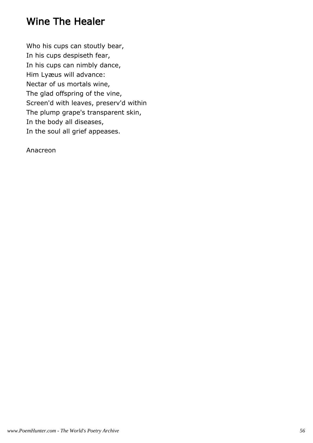### Wine The Healer

Who his cups can stoutly bear, In his cups despiseth fear, In his cups can nimbly dance, Him Lyæus will advance: Nectar of us mortals wine, The glad offspring of the vine, Screen'd with leaves, preserv'd within The plump grape's transparent skin, In the body all diseases, In the soul all grief appeases.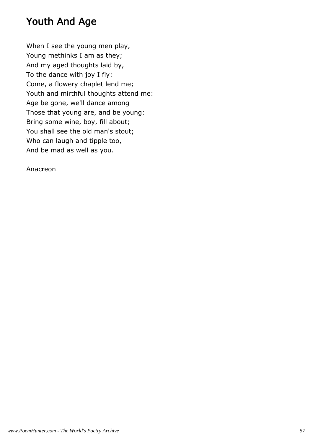# Youth And Age

When I see the young men play, Young methinks I am as they; And my aged thoughts laid by, To the dance with joy I fly: Come, a flowery chaplet lend me; Youth and mirthful thoughts attend me: Age be gone, we'll dance among Those that young are, and be young: Bring some wine, boy, fill about; You shall see the old man's stout; Who can laugh and tipple too, And be mad as well as you.